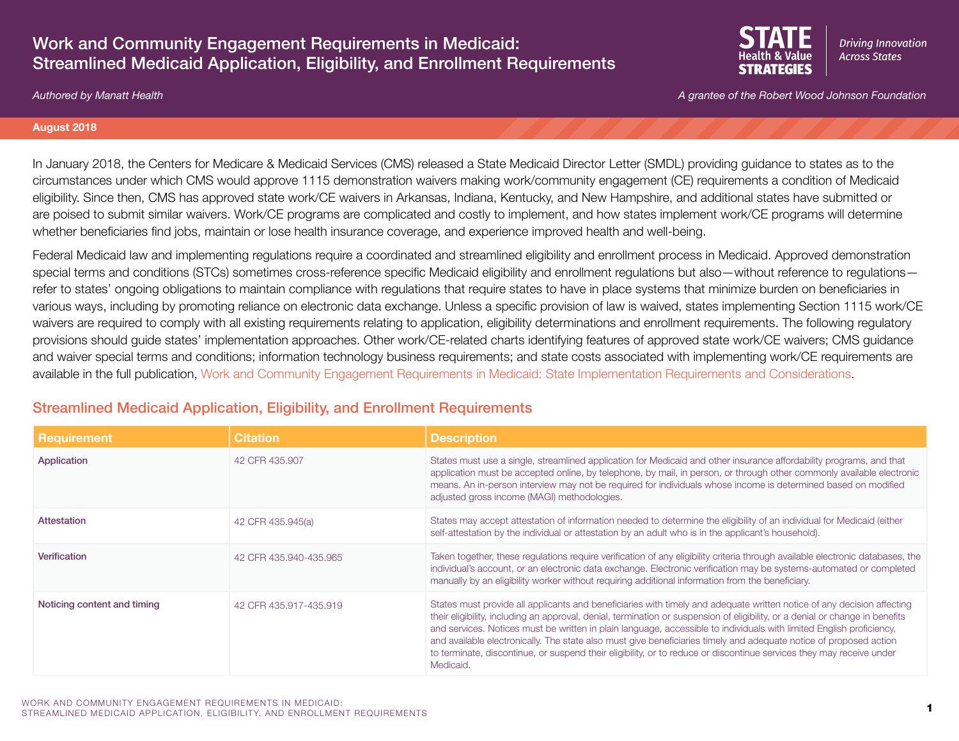# Work and Community Engagement Requirements in Medicaid: Streamlined Medicaid Application, Eligibility, and Enrollment Requirements



*Authored by Manatt Health A grantee of the Robert Wood Johnson Foundation*

### **August 2018**

In January 2018, the Centers for Medicare & Medicaid Services (CMS) released a State Medicaid Director Letter (SMDL) providing guidance to states as to the circumstances under which CMS would approve 1115 demonstration waivers making work/community engagement (CE) requirements a condition of Medicaid eligibility. Since then, CMS has approved state work/CE waivers in Arkansas, Indiana, Kentucky, and New Hampshire, and additional states have submitted or are poised to submit similar waivers. Work/CE programs are complicated and costly to implement, and how states implement work/CE programs will determine whether beneficiaries find jobs, maintain or lose health insurance coverage, and experience improved health and well-being.

Federal Medicaid law and implementing regulations require a coordinated and streamlined eligibility and enrollment process in Medicaid. Approved demonstration special terms and conditions (STCs) sometimes cross-reference specific Medicaid eligibility and enrollment regulations but also—without reference to regulations refer to states' ongoing obligations to maintain compliance with regulations that require states to have in place systems that minimize burden on beneficiaries in various ways, including by promoting reliance on electronic data exchange. Unless a specific provision of law is waived, states implementing Section 1115 work/CE waivers are required to comply with all existing requirements relating to application, eligibility determinations and enrollment requirements. The following regulatory provisions should guide states' implementation approaches. Other work/CE-related charts identifying features of approved state work/CE waivers; CMS guidance and waiver special terms and conditions; information technology business requirements; and state costs associated with implementing work/CE requirements are available in the full publication, [Work and Community Engagement Requirements in Medicaid: State Implementation Requirements and Considerations](https://www.shvs.org/resource/work-and-community-engagement-requirements-in-medicaid-state-implementation-requirements-and-considerations/).

## Streamlined Medicaid Application, Eligibility, and Enrollment Requirements

| <b>Requirement</b>          | <b>Citation</b>        | <b>Description</b>                                                                                                                                                                                                                                                                                                                                                                                                                                                                                                                                                                                                                         |
|-----------------------------|------------------------|--------------------------------------------------------------------------------------------------------------------------------------------------------------------------------------------------------------------------------------------------------------------------------------------------------------------------------------------------------------------------------------------------------------------------------------------------------------------------------------------------------------------------------------------------------------------------------------------------------------------------------------------|
| Application                 | 42 CFR 435.907         | States must use a single, streamlined application for Medicaid and other insurance affordability programs, and that<br>application must be accepted online, by telephone, by mail, in person, or through other commonly available electronic<br>means. An in-person interview may not be required for individuals whose income is determined based on modified<br>adjusted gross income (MAGI) methodologies.                                                                                                                                                                                                                              |
| Attestation                 | 42 CFR 435.945(a)      | States may accept attestation of information needed to determine the eligibility of an individual for Medicaid (either<br>self-attestation by the individual or attestation by an adult who is in the applicant's household).                                                                                                                                                                                                                                                                                                                                                                                                              |
| Verification                | 42 CFR 435.940-435.965 | Taken together, these regulations require verification of any eligibility criteria through available electronic databases, the<br>individual's account, or an electronic data exchange. Electronic verification may be systems-automated or completed<br>manually by an eligibility worker without requiring additional information from the beneficiary.                                                                                                                                                                                                                                                                                  |
| Noticing content and timing | 42 CFR 435.917-435.919 | States must provide all applicants and beneficiaries with timely and adequate written notice of any decision affecting<br>their eligibility, including an approval, denial, termination or suspension of eligibility, or a denial or change in benefits<br>and services. Notices must be written in plain language, accessible to individuals with limited English proficiency,<br>and available electronically. The state also must give beneficiaries timely and adequate notice of proposed action<br>to terminate, discontinue, or suspend their eligibility, or to reduce or discontinue services they may receive under<br>Medicaid. |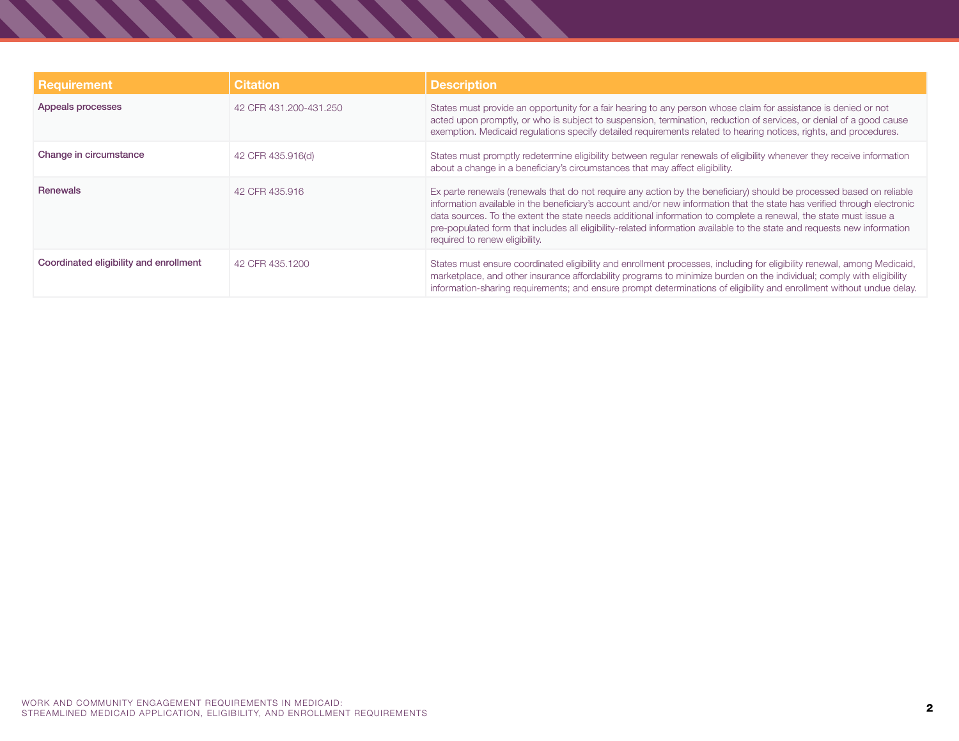| <b>Requirement</b>                     | <b>Citation</b>        | <b>Description</b>                                                                                                                                                                                                                                                                                                                                                                                                                                                                                                                 |
|----------------------------------------|------------------------|------------------------------------------------------------------------------------------------------------------------------------------------------------------------------------------------------------------------------------------------------------------------------------------------------------------------------------------------------------------------------------------------------------------------------------------------------------------------------------------------------------------------------------|
| Appeals processes                      | 42 CFR 431.200-431.250 | States must provide an opportunity for a fair hearing to any person whose claim for assistance is denied or not<br>acted upon promptly, or who is subject to suspension, termination, reduction of services, or denial of a good cause<br>exemption. Medicaid regulations specify detailed requirements related to hearing notices, rights, and procedures.                                                                                                                                                                        |
| Change in circumstance                 | 42 CFR 435.916(d)      | States must promptly redetermine eligibility between regular renewals of eligibility whenever they receive information<br>about a change in a beneficiary's circumstances that may affect eligibility.                                                                                                                                                                                                                                                                                                                             |
| <b>Renewals</b>                        | 42 CFR 435,916         | Ex parte renewals (renewals that do not require any action by the beneficiary) should be processed based on reliable<br>information available in the beneficiary's account and/or new information that the state has verified through electronic<br>data sources. To the extent the state needs additional information to complete a renewal, the state must issue a<br>pre-populated form that includes all eligibility-related information available to the state and requests new information<br>required to renew eligibility. |
| Coordinated eligibility and enrollment | 42 CFR 435,1200        | States must ensure coordinated eligibility and enrollment processes, including for eligibility renewal, among Medicaid,<br>marketplace, and other insurance affordability programs to minimize burden on the individual; comply with eligibility<br>information-sharing requirements; and ensure prompt determinations of eligibility and enrollment without undue delay.                                                                                                                                                          |

, , , , , , , , , , , , , , ,

**START**